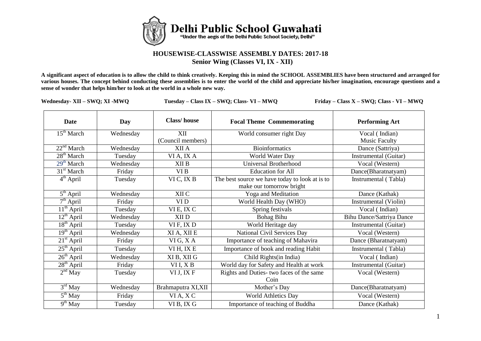

## **HOUSEWISE-CLASSWISE ASSEMBLY DATES: 2017-18 Senior Wing (Classes VI, IX - XII)**

**A significant aspect of education is to allow the child to think creatively. Keeping this in mind the SCHOOL ASSEMBLIES have been structured and arranged for various houses. The concept behind conducting these assemblies is to enter the world of the child and appreciate his/her imagination, encourage questions and a sense of wonder that helps him/her to look at the world in a whole new way.**

**Wednesday- XII – SWQ; XI -MWQ Tuesday – Class IX – SWQ; Class- VI – MWQ Friday – Class X – SWQ; Class - VI – MWQ**

| Date                   | Day       | Class/house        | <b>Focal Theme Commemorating</b>               | <b>Performing Art</b>            |
|------------------------|-----------|--------------------|------------------------------------------------|----------------------------------|
| $15th$ March           | Wednesday | XII                | World consumer right Day                       | Vocal (Indian)                   |
|                        |           | (Council members)  |                                                | <b>Music Faculty</b>             |
| 22 <sup>nd</sup> March | Wednesday | XII A              | <b>Bioinformatics</b>                          | Dance (Sattriya)                 |
| $28th$ March           | Tuesday   | VI A, IX A         | World Water Day                                | Instrumental (Guitar)            |
| 29 <sup>th</sup> March | Wednesday | XII B              | Universal Brotherhood                          | Vocal (Western)                  |
| 31 <sup>st</sup> March | Friday    | VI B               | <b>Education</b> for All                       | Dance(Bharatnatyam)              |
| $4th$ April            | Tuesday   | VIC, IX B          | The best source we have today to look at is to | Instrumental (Tabla)             |
|                        |           |                    | make our tomorrow bright                       |                                  |
| $5th$ April            | Wednesday | XII C              | Yoga and Meditation                            | Dance (Kathak)                   |
| $7th$ April            | Friday    | VI <sub>D</sub>    | World Health Day (WHO)                         | Instrumental (Violin)            |
| $11^{th}$ April        | Tuesday   | VI E, IX C         | Spring festivals                               | Vocal (Indian)                   |
| $12^{th}$ April        | Wednesday | XII D              | <b>Bohag Bihu</b>                              | <b>Bihu Dance/Sattriya Dance</b> |
| $18th$ April           | Tuesday   | VIF, IXD           | World Heritage day                             | Instrumental (Guitar)            |
| $19th$ April           | Wednesday | XI A, XII E        | National Civil Services Day                    | Vocal (Western)                  |
| $21st$ April           | Friday    | VI G, X A          | Importance of teaching of Mahavira             | Dance (Bharatnatyam)             |
| $25th$ April           | Tuesday   | VI H, IX E         | Importance of book and reading Habit           | Instrumental (Tabla)             |
| $26th$ April           | Wednesday | XI B, XII G        | Child Rights(in India)                         | Vocal (Indian)                   |
| $28th$ April           | Friday    | VII, XB            | World day for Safety and Health at work        | Instrumental (Guitar)            |
| $2nd$ May              | Tuesday   | VI J, IX F         | Rights and Duties- two faces of the same       | Vocal (Western)                  |
|                        |           |                    | Coin                                           |                                  |
| $3rd$ May              | Wednesday | Brahmaputra XI,XII | Mother's Day                                   | Dance(Bharatnatyam)              |
| $5th$ May              | Friday    | VI A, X C          | <b>World Athletics Day</b>                     | Vocal (Western)                  |
| $9th$ May              | Tuesday   | VIB, IX G          | Importance of teaching of Buddha               | Dance (Kathak)                   |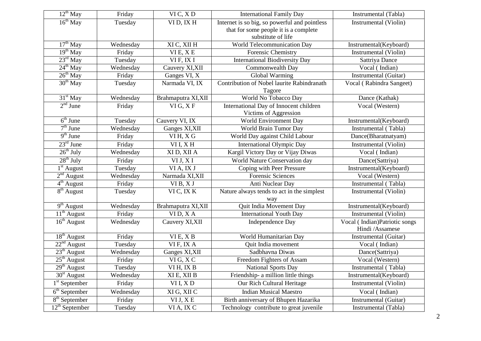| $12^{th}$ May              | Friday    | VI C, X D              | <b>International Family Day</b>                                 | Instrumental (Tabla)          |
|----------------------------|-----------|------------------------|-----------------------------------------------------------------|-------------------------------|
| $16^{th}$ May              | Tuesday   | VID, IXH               | Internet is so big, so powerful and pointless                   | Instrumental (Violin)         |
|                            |           |                        | that for some people it is a complete<br>substitute of life     |                               |
| $17th$ May                 | Wednesday | XI C, XII H            | World Telecommunication Day                                     | Instrumental(Keyboard)        |
| $19th$ May                 | Friday    | VIE, XE                | Forensic Chemistry                                              | Instrumental (Violin)         |
| $23^{\text{rd}}$ May       | Tuesday   | VIF, IXI               | <b>International Biodiversity Day</b>                           | Sattriya Dance                |
| $24^{th}$ May              | Wednesday | Cauvery XI, XII        | Commonwealth Day                                                | Vocal (Indian)                |
| $26th$ May                 | Friday    | Ganges VI, X           | Global Warming                                                  | Instrumental (Guitar)         |
| $30th$ May                 | Tuesday   | Narmada VI, IX         | Contribution of Nobel laurite Rabindranath                      | Vocal (Rabindra Sangeet)      |
|                            |           |                        | Tagore                                                          |                               |
| 31 <sup>st</sup> May       | Wednesday | Brahmaputra XI,XII     | World No Tobacco Day                                            | Dance (Kathak)                |
| $2nd$ June                 | Friday    | $\overline{VI}$ G, X F | International Day of Innocent children<br>Victims of Aggression | Vocal (Western)               |
| $6th$ June                 | Tuesday   | Cauvery VI, IX         | World Environment Day                                           | Instrumental(Keyboard)        |
| $7th$ June                 | Wednesday | Ganges XI, XII         | World Brain Tumor Day                                           | Instrumental (Tabla)          |
| $9th$ June                 | Friday    | VIH, XG                | World Day against Child Labour                                  | Dance(Bharatnatyam)           |
| $23rd$ June                | Friday    | VI I, XH               | <b>International Olympic Day</b>                                | Instrumental (Violin)         |
| $26th$ July                | Wednesday | XI D, XII A            | Kargil Victory Day or Vijay Diwas                               | Vocal (Indian)                |
| $28th$ July                |           |                        |                                                                 |                               |
|                            | Friday    | VI J, X I              | World Nature Conservation day                                   | Dance(Sattriya)               |
| $1st$ August               | Tuesday   | VI A, IX J             | Coping with Peer Pressure                                       | Instrumental(Keyboard)        |
| $2nd$ August               | Wednesday | Narmada XI, XII        | <b>Forensic Sciences</b>                                        | Vocal (Western)               |
| $4th$ August               | Friday    | VIB, XJ                | Anti Nuclear Day                                                | Instrumental (Tabla)          |
| $8th$ August               | Tuesday   | VIC, IX K              | Nature always tends to act in the simplest<br>way               | Instrumental (Violin)         |
| $9th$ August               | Wednesday | Brahmaputra XI,XII     | Quit India Movement Day                                         | Instrumental(Keyboard)        |
| $11^{th}$ August           | Friday    | VID, XA                | <b>International Youth Day</b>                                  | Instrumental (Violin)         |
| $16th$ August              | Wednesday | Cauvery XI, XII        | <b>Independence Day</b>                                         | Vocal (Indian)Patriotic songs |
|                            |           |                        |                                                                 | Hindi /Assamese               |
| $\overline{18^{th}$ August | Friday    | VI E, X B              | World Humanitarian Day                                          | Instrumental (Guitar)         |
| $22nd$ August              | Tuesday   | VIF, IX A              | Quit India movement                                             | Vocal (Indian)                |
| $23th$ August              | Wednesday | Ganges XI, XII         | Sadbhavna Diwas                                                 | Dance(Sattriya)               |
| $25th$ August              | Friday    | VIG, XC                | Freedom Fighters of Assam                                       | Vocal (Western)               |
| $29th$ August              | Tuesday   | V1H, IXB               | National Sports Day                                             | Instrumental (Tabla)          |
| $30st$ August              | Wednesday | XI E, XII B            | Friendship- a million little things                             | Instrumental(Keyboard)        |
| $1st$ September            | Friday    | VI I, X D              | Our Rich Cultural Heritage                                      | Instrumental (Violin)         |
| $6th$ September            | Wednesday | XI G, XII C            | <b>Indian Musical Maestro</b>                                   | Vocal (Indian)                |
| $8th$ September            | Friday    | VI J, X E              | Birth anniversary of Bhupen Hazarika                            | Instrumental (Guitar)         |
| $12th$ September           | Tuesday   | VI A, IX C             | Technology contribute to great juvenile                         | Instrumental (Tabla)          |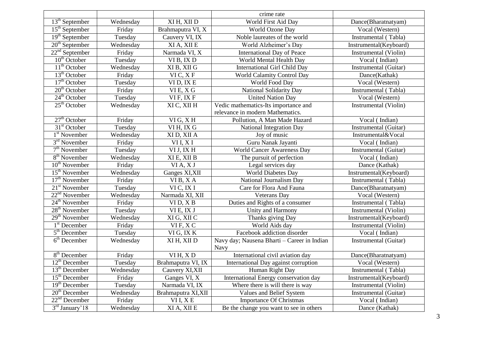|                              |           |                    | crime rate                                  |                        |
|------------------------------|-----------|--------------------|---------------------------------------------|------------------------|
| $13th$ September             | Wednesday | XI H, XII D        | World First Aid Day                         | Dance(Bharatnatyam)    |
| $15th$ September             | Friday    | Brahmaputra VI, X  | World Ozone Day                             | Vocal (Western)        |
| $19th$ September             | Tuesday   | Cauvery VI, IX     | Noble laureates of the world                | Instrumental (Tabla)   |
| $20th$ September             | Wednesday | XI A, XII E        | World Alzheimer's Day                       | Instrumental(Keyboard) |
| $22nd$ September             | Friday    | Narmada VI, X      | <b>International Day of Peace</b>           | Instrumental (Violin)  |
| $\overline{10^{th}}$ October | Tuesday   | VI B, IX D         | World Mental Health Day                     | Vocal (Indian)         |
| $11th$ October               | Wednesday | XI B, XII G        | International Girl Child Day                | Instrumental (Guitar)  |
| $13th$ October               | Friday    | VIC, XF            | <b>World Calamity Control Day</b>           | Dance(Kathak)          |
| $17th$ October               | Tuesday   | VID, IXE           | World Food Day                              | Vocal (Western)        |
| $20th$ October               | Friday    | VI E, X G          | National Solidarity Day                     | Instrumental (Tabla)   |
| $24th$ October               | Tuesday   | VIF, IXF           | <b>United Nation Day</b>                    | Vocal (Western)        |
| $25th$ October               | Wednesday | XI C, XII H        | Vedic mathematics-Its importance and        | Instrumental (Violin)  |
|                              |           |                    | relevance in modern Mathematics.            |                        |
| $27th$ October               | Friday    | VI G, XH           | Pollution, A Man Made Hazard                | Vocal (Indian)         |
| $31st$ October               | Tuesday   | VI H, IX G         | <b>National Integration Day</b>             | Instrumental (Guitar)  |
| $1st$ November               | Wednesday | XI D, XII A        | Joy of music                                | Instrumental&Vocal     |
| 3 <sup>rd</sup> November     | Friday    | VI I, X I          | Guru Nanak Jayanti                          | Vocal (Indian)         |
| $7th$ November               | Tuesday   | VI J, IX H         | World Cancer Awareness Day                  | Instrumental (Guitar)  |
| 8 <sup>th</sup> November     | Wednesday | XI E, XII B        | The pursuit of perfection                   | Vocal (Indian)         |
| $10th$ November              | Friday    | VIA, XJ            | Legal services day                          | Dance (Kathak)         |
| $15th$ November              | Wednesday | Ganges XI, XII     | <b>World Diabetes Day</b>                   | Instrumental(Keyboard) |
| $17th$ November              | Friday    | VIB, XA            | National Journalism Day                     | Instrumental (Tabla)   |
| $21st$ November              | Tuesday   | VIC, IX I          | Care for Flora And Fauna                    | Dance(Bharatnatyam)    |
| $22nd$ November              | Wednesday | Narmada XI, XII    | <b>Veterans</b> Day                         | Vocal (Western)        |
| $24th$ November              | Friday    | VI D, X B          | Duties and Rights of a consumer             | Instrumental (Tabla)   |
| 28 <sup>th</sup> November    | Tuesday   | VI E, IX J         | Unity and Harmony                           | Instrumental (Violin)  |
| $29th$ November              | Wednesday | XI G, XII C        | Thanks giving Day                           | Instrumental(Keyboard) |
| $1st$ December               | Friday    | VIF, XC            | World Aids day                              | Instrumental (Violin)  |
| $5th$ December               | Tuesday   | VIG, IXK           | Facebook addiction disorder                 | Vocal (Indian)         |
| $6th$ December               | Wednesday | XI H, XII D        | Navy day; Nausena Bharti - Career in Indian | Instrumental (Guitar)  |
|                              |           |                    | Navy                                        |                        |
| $8th$ December               | Friday    | VIH, XD            | International civil aviation day            | Dance(Bharatnatyam)    |
| $12th$ December              | Tuesday   | Brahmaputra VI, IX | International Day against corruption        | Vocal (Western)        |
| $13th$ December              | Wednesday | Cauvery XI, XII    | Human Right Day                             | Instrumental (Tabla)   |
| $15th$ December              | Friday    | Ganges VI, X       | International Energy conservation day       | Instrumental(Keyboard) |
| $19th$ December              | Tuesday   | Narmada VI, IX     | Where there is will there is way            | Instrumental (Violin)  |
| $20th$ December              | Wednesday | Brahmaputra XI,XII | Values and Belief System                    | Instrumental (Guitar)  |
| $22nd$ December              | Friday    | VI I, X E          | <b>Importance Of Christmas</b>              | Vocal (Indian)         |
| $3rd$ January' 18            | Wednesday | XI A, XII E        | Be the change you want to see in others     | Dance (Kathak)         |